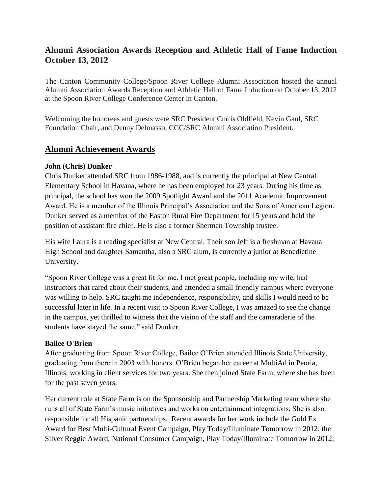## **Alumni Association Awards Reception and Athletic Hall of Fame Induction October 13, 2012**

The Canton Community College/Spoon River College Alumni Association hosted the annual Alumni Association Awards Reception and Athletic Hall of Fame Induction on October 13, 2012 at the Spoon River College Conference Center in Canton.

Welcoming the honorees and guests were SRC President Curtis Oldfield, Kevin Gaul, SRC Foundation Chair, and Denny Delmasso, CCC/SRC Alumni Association President.

## **Alumni Achievement Awards**

#### **John (Chris) Dunker**

Chris Dunker attended SRC from 1986-1988, and is currently the principal at New Central Elementary School in Havana, where he has been employed for 23 years. During his time as principal, the school has won the 2009 Spotlight Award and the 2011 Academic Improvement Award. He is a member of the Illinois Principal's Association and the Sons of American Legion. Dunker served as a member of the Easton Rural Fire Department for 15 years and held the position of assistant fire chief. He is also a former Sherman Township trustee.

His wife Laura is a reading specialist at New Central. Their son Jeff is a freshman at Havana High School and daughter Samantha, also a SRC alum, is currently a junior at Benedictine University.

"Spoon River College was a great fit for me. I met great people, including my wife, had instructors that cared about their students, and attended a small friendly campus where everyone was willing to help. SRC taught me independence, responsibility, and skills I would need to be successful later in life. In a recent visit to Spoon River College, I was amazed to see the change in the campus, yet thrilled to witness that the vision of the staff and the camaraderie of the students have stayed the same," said Dunker.

#### **Bailee O'Brien**

After graduating from Spoon River College, Bailee O'Brien attended Illinois State University, graduating from there in 2003 with honors. O'Brien began her career at MultiAd in Peoria, Illinois, working in client services for two years. She then joined State Farm, where she has been for the past seven years.

Her current role at State Farm is on the Sponsorship and Partnership Marketing team where she runs all of State Farm's music initiatives and works on entertainment integrations. She is also responsible for all Hispanic partnerships. Recent awards for her work include the Gold Ex Award for Best Multi-Cultural Event Campaign, Play Today/Illuminate Tomorrow in 2012; the Silver Reggie Award, National Consumer Campaign, Play Today/Illuminate Tomorrow in 2012;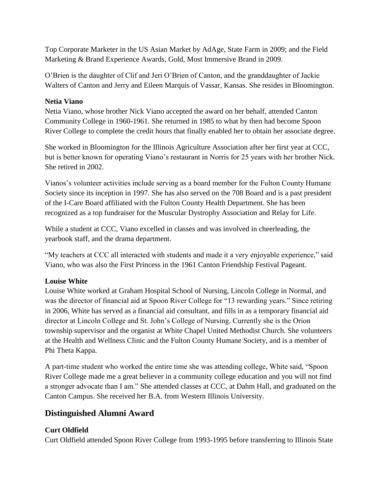Top Corporate Marketer in the US Asian Market by AdAge, State Farm in 2009; and the Field Marketing & Brand Experience Awards, Gold, Most Immersive Brand in 2009.

O'Brien is the daughter of Clif and Jeri O'Brien of Canton, and the granddaughter of Jackie Walters of Canton and Jerry and Eileen Marquis of Vassar, Kansas. She resides in Bloomington.

#### **Netia Viano**

Netia Viano, whose brother Nick Viano accepted the award on her behalf, attended Canton Community College in 1960-1961. She returned in 1985 to what by then had become Spoon River College to complete the credit hours that finally enabled her to obtain her associate degree.

She worked in Bloomington for the Illinois Agriculture Association after her first year at CCC, but is better known for operating Viano's restaurant in Norris for 25 years with her brother Nick. She retired in 2002.

Vianos's volunteer activities include serving as a board member for the Fulton County Humane Society since its inception in 1997. She has also served on the 708 Board and is a past president of the I-Care Board affiliated with the Fulton County Health Department. She has been recognized as a top fundraiser for the Muscular Dystrophy Association and Relay for Life.

While a student at CCC, Viano excelled in classes and was involved in cheerleading, the yearbook staff, and the drama department.

"My teachers at CCC all interacted with students and made it a very enjoyable experience," said Viano, who was also the First Princess in the 1961 Canton Friendship Festival Pageant.

### **Louise White**

Louise White worked at Graham Hospital School of Nursing, Lincoln College in Normal, and was the director of financial aid at Spoon River College for "13 rewarding years." Since retiring in 2006, White has served as a financial aid consultant, and fills in as a temporary financial aid director at Lincoln College and St. John's College of Nursing. Currently she is the Orion township supervisor and the organist at White Chapel United Methodist Church. She volunteers at the Health and Wellness Clinic and the Fulton County Humane Society, and is a member of Phi Theta Kappa.

A part-time student who worked the entire time she was attending college, White said, "Spoon River College made me a great believer in a community college education and you will not find a stronger advocate than I am." She attended classes at CCC, at Dahm Hall, and graduated on the Canton Campus. She received her B.A. from Western Illinois University.

# **Distinguished Alumni Award**

### **Curt Oldfield**

Curt Oldfield attended Spoon River College from 1993-1995 before transferring to Illinois State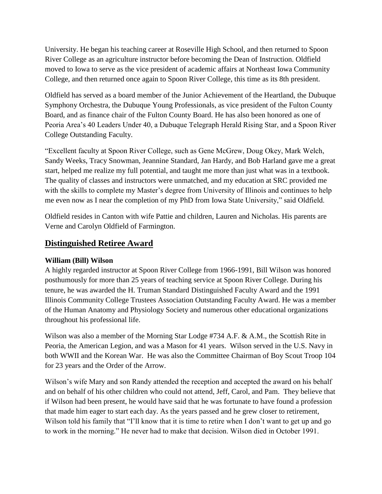University. He began his teaching career at Roseville High School, and then returned to Spoon River College as an agriculture instructor before becoming the Dean of Instruction. Oldfield moved to Iowa to serve as the vice president of academic affairs at Northeast Iowa Community College, and then returned once again to Spoon River College, this time as its 8th president.

Oldfield has served as a board member of the Junior Achievement of the Heartland, the Dubuque Symphony Orchestra, the Dubuque Young Professionals, as vice president of the Fulton County Board, and as finance chair of the Fulton County Board. He has also been honored as one of Peoria Area's 40 Leaders Under 40, a Dubuque Telegraph Herald Rising Star, and a Spoon River College Outstanding Faculty.

"Excellent faculty at Spoon River College, such as Gene McGrew, Doug Okey, Mark Welch, Sandy Weeks, Tracy Snowman, Jeannine Standard, Jan Hardy, and Bob Harland gave me a great start, helped me realize my full potential, and taught me more than just what was in a textbook. The quality of classes and instructors were unmatched, and my education at SRC provided me with the skills to complete my Master's degree from University of Illinois and continues to help me even now as I near the completion of my PhD from Iowa State University," said Oldfield.

Oldfield resides in Canton with wife Pattie and children, Lauren and Nicholas. His parents are Verne and Carolyn Oldfield of Farmington.

## **Distinguished Retiree Award**

### **William (Bill) Wilson**

A highly regarded instructor at Spoon River College from 1966-1991, Bill Wilson was honored posthumously for more than 25 years of teaching service at Spoon River College. During his tenure, he was awarded the H. Truman Standard Distinguished Faculty Award and the 1991 Illinois Community College Trustees Association Outstanding Faculty Award. He was a member of the Human Anatomy and Physiology Society and numerous other educational organizations throughout his professional life.

Wilson was also a member of the Morning Star Lodge #734 A.F. & A.M., the Scottish Rite in Peoria, the American Legion, and was a Mason for 41 years. Wilson served in the U.S. Navy in both WWII and the Korean War. He was also the Committee Chairman of Boy Scout Troop 104 for 23 years and the Order of the Arrow.

Wilson's wife Mary and son Randy attended the reception and accepted the award on his behalf and on behalf of his other children who could not attend, Jeff, Carol, and Pam. They believe that if Wilson had been present, he would have said that he was fortunate to have found a profession that made him eager to start each day. As the years passed and he grew closer to retirement, Wilson told his family that "I'll know that it is time to retire when I don't want to get up and go to work in the morning." He never had to make that decision. Wilson died in October 1991.